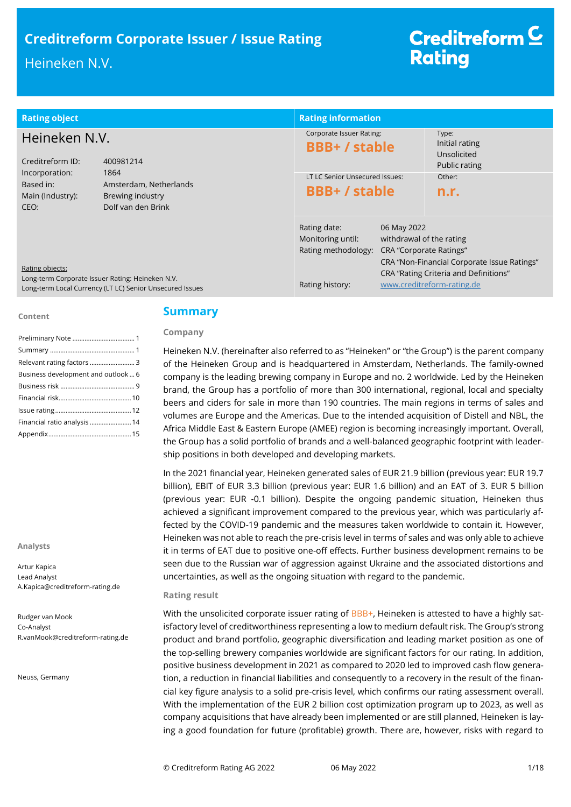# **Creditreform Corporate Issuer / Issue Rating**

## Heineken N.V.

## Creditreform<sup>C</sup> **Rating**

| <b>Rating object</b>                                                                                                            |                                        | <b>Rating information</b>                                |                                                                           |                                                                     |
|---------------------------------------------------------------------------------------------------------------------------------|----------------------------------------|----------------------------------------------------------|---------------------------------------------------------------------------|---------------------------------------------------------------------|
| Heineken N.V.<br>Creditreform ID:<br>400981214                                                                                  |                                        | Corporate Issuer Rating:<br><b>BBB+/stable</b>           |                                                                           | Type:<br>Initial rating<br>Unsolicited<br>Public rating             |
| Incorporation:<br>Based in:<br>Main (Industry):<br>CEO:                                                                         | 1864<br>Amsterdam, Netherlands         | LT LC Senior Unsecured Issues:<br><b>BBB+/stable</b>     |                                                                           | Other:<br>n.r.                                                      |
|                                                                                                                                 | Brewing industry<br>Dolf van den Brink |                                                          |                                                                           |                                                                     |
|                                                                                                                                 |                                        | Rating date:<br>Monitoring until:<br>Rating methodology: | 06 May 2022<br>withdrawal of the rating<br><b>CRA</b> "Corporate Ratings" | CRA "Non-Financial Corporate Issue Ratings"                         |
| Rating objects:<br>Long-term Corporate Issuer Rating: Heineken N.V.<br>Long-term Local Currency (LT LC) Senior Unsecured Issues |                                        | Rating history:                                          |                                                                           | CRA "Rating Criteria and Definitions"<br>www.creditreform-rating.de |

#### **Content**

| Relevant rating factors  3         |
|------------------------------------|
| Business development and outlook 6 |
|                                    |
|                                    |
|                                    |
| Financial ratio analysis  14       |
|                                    |

**Analysts**

Artur Kapica Lead Analyst A.Kapica@creditreform-rating.de

Rudger van Mook Co-Analyst R.vanMook@creditreform-rating.de

Neuss, Germany

## **Summary**

### **Company**

Heineken N.V. (hereinafter also referred to as "Heineken" or "the Group") is the parent company of the Heineken Group and is headquartered in Amsterdam, Netherlands. The family-owned company is the leading brewing company in Europe and no. 2 worldwide. Led by the Heineken brand, the Group has a portfolio of more than 300 international, regional, local and specialty beers and ciders for sale in more than 190 countries. The main regions in terms of sales and volumes are Europe and the Americas. Due to the intended acquisition of Distell and NBL, the Africa Middle East & Eastern Europe (AMEE) region is becoming increasingly important. Overall, the Group has a solid portfolio of brands and a well-balanced geographic footprint with leadership positions in both developed and developing markets.

In the 2021 financial year, Heineken generated sales of EUR 21.9 billion (previous year: EUR 19.7 billion), EBIT of EUR 3.3 billion (previous year: EUR 1.6 billion) and an EAT of 3. EUR 5 billion (previous year: EUR -0.1 billion). Despite the ongoing pandemic situation, Heineken thus achieved a significant improvement compared to the previous year, which was particularly affected by the COVID-19 pandemic and the measures taken worldwide to contain it. However, Heineken was not able to reach the pre-crisis level in terms of sales and was only able to achieve it in terms of EAT due to positive one-off effects. Further business development remains to be seen due to the Russian war of aggression against Ukraine and the associated distortions and uncertainties, as well as the ongoing situation with regard to the pandemic.

### **Rating result**

With the unsolicited corporate issuer rating of BBB+, Heineken is attested to have a highly satisfactory level of creditworthiness representing a low to medium default risk. The Group's strong product and brand portfolio, geographic diversification and leading market position as one of the top-selling brewery companies worldwide are significant factors for our rating. In addition, positive business development in 2021 as compared to 2020 led to improved cash flow generation, a reduction in financial liabilities and consequently to a recovery in the result of the financial key figure analysis to a solid pre-crisis level, which confirms our rating assessment overall. With the implementation of the EUR 2 billion cost optimization program up to 2023, as well as company acquisitions that have already been implemented or are still planned, Heineken is laying a good foundation for future (profitable) growth. There are, however, risks with regard to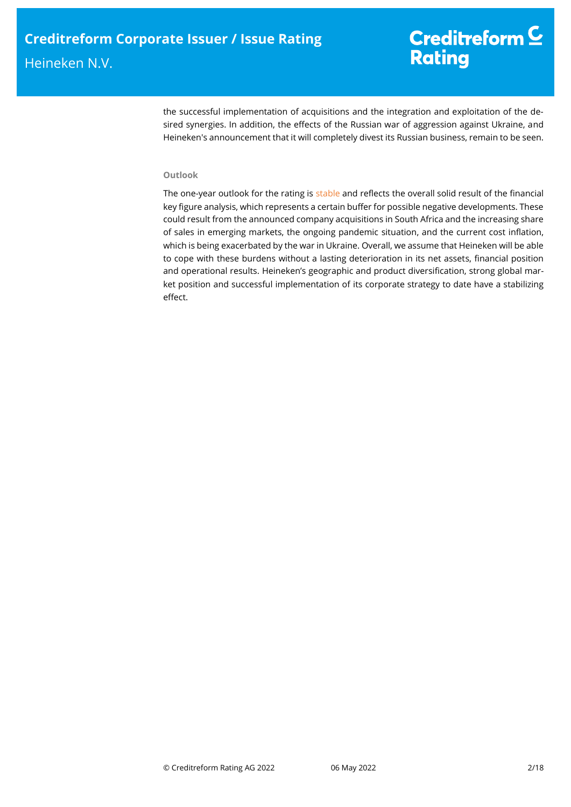the successful implementation of acquisitions and the integration and exploitation of the desired synergies. In addition, the effects of the Russian war of aggression against Ukraine, and Heineken's announcement that it will completely divest its Russian business, remain to be seen.

## **Outlook**

The one-year outlook for the rating is stable and reflects the overall solid result of the financial key figure analysis, which represents a certain buffer for possible negative developments. These could result from the announced company acquisitions in South Africa and the increasing share of sales in emerging markets, the ongoing pandemic situation, and the current cost inflation, which is being exacerbated by the war in Ukraine. Overall, we assume that Heineken will be able to cope with these burdens without a lasting deterioration in its net assets, financial position and operational results. Heineken's geographic and product diversification, strong global market position and successful implementation of its corporate strategy to date have a stabilizing effect.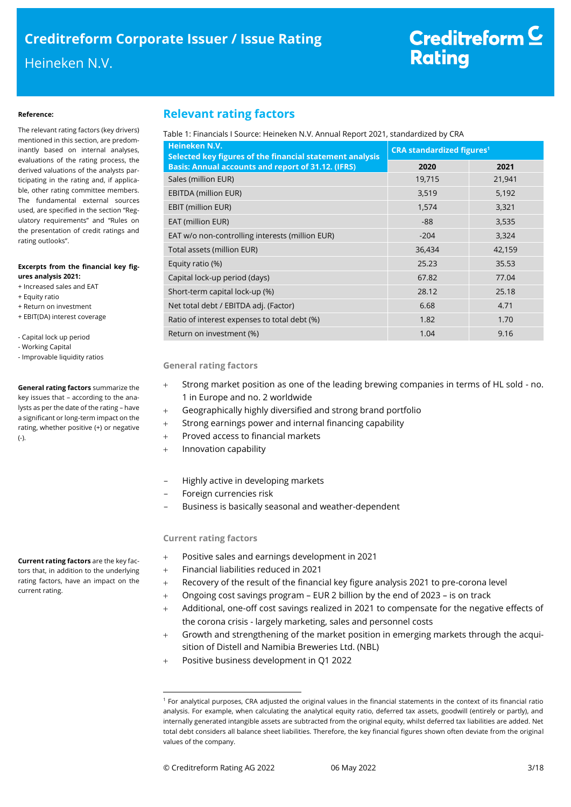#### **Reference:**

The relevant rating factors (key drivers) mentioned in this section, are predominantly based on internal analyses, evaluations of the rating process, the derived valuations of the analysts participating in the rating and, if applicable, other rating committee members. The fundamental external sources used, are specified in the section "Regulatory requirements" and "Rules on the presentation of credit ratings and rating outlooks".

#### **Excerpts from the financial key figures analysis 2021:**

- + Increased sales and EAT
- + Equity ratio
- + Return on investment + EBIT(DA) interest coverage
- Capital lock up period
- Working Capital
- Improvable liquidity ratios

**General rating factors** summarize the key issues that – according to the analysts as per the date of the rating – have a significant or long-term impact on the rating, whether positive (+) or negative  $(-)$ .

**Current rating factors** are the key factors that, in addition to the underlying rating factors, have an impact on the current rating.

## **Relevant rating factors**

## Table 1: Financials I Source: Heineken N.V. Annual Report 2021, standardized by CRA

| Heineken N.V.<br>Selected key figures of the financial statement analysis | <b>CRA standardized figures<sup>1</sup></b> |        |  |  |
|---------------------------------------------------------------------------|---------------------------------------------|--------|--|--|
| <b>Basis: Annual accounts and report of 31.12. (IFRS)</b>                 | 2020                                        | 2021   |  |  |
| Sales (million EUR)                                                       | 19,715                                      | 21,941 |  |  |
| <b>EBITDA (million EUR)</b>                                               | 3,519                                       | 5,192  |  |  |
| EBIT (million EUR)                                                        | 1,574                                       | 3,321  |  |  |
| EAT (million EUR)                                                         | $-88$                                       | 3,535  |  |  |
| EAT w/o non-controlling interests (million EUR)                           | $-204$                                      | 3,324  |  |  |
| Total assets (million EUR)                                                | 36,434                                      | 42,159 |  |  |
| Equity ratio (%)                                                          | 25.23                                       | 35.53  |  |  |
| Capital lock-up period (days)                                             | 67.82                                       | 77.04  |  |  |
| Short-term capital lock-up (%)                                            | 28.12                                       | 25.18  |  |  |
| Net total debt / EBITDA adj. (Factor)                                     | 6.68                                        | 4.71   |  |  |
| Ratio of interest expenses to total debt (%)                              | 1.82                                        | 1.70   |  |  |
| Return on investment (%)                                                  | 1.04                                        | 9.16   |  |  |

#### **General rating factors**

- Strong market position as one of the leading brewing companies in terms of HL sold no. 1 in Europe and no. 2 worldwide
- Geographically highly diversified and strong brand portfolio
- Strong earnings power and internal financing capability
- Proved access to financial markets
- + Innovation capability
- Highly active in developing markets
- Foreign currencies risk
- Business is basically seasonal and weather-dependent

### **Current rating factors**

- Positive sales and earnings development in 2021
- Financial liabilities reduced in 2021
- Recovery of the result of the financial key figure analysis 2021 to pre-corona level
- Ongoing cost savings program EUR 2 billion by the end of 2023 is on track
- Additional, one-off cost savings realized in 2021 to compensate for the negative effects of the corona crisis - largely marketing, sales and personnel costs
- Growth and strengthening of the market position in emerging markets through the acquisition of Distell and Namibia Breweries Ltd. (NBL)
- Positive business development in Q1 2022

 $\overline{a}$ 

<sup>1</sup> For analytical purposes, CRA adjusted the original values in the financial statements in the context of its financial ratio analysis. For example, when calculating the analytical equity ratio, deferred tax assets, goodwill (entirely or partly), and internally generated intangible assets are subtracted from the original equity, whilst deferred tax liabilities are added. Net total debt considers all balance sheet liabilities. Therefore, the key financial figures shown often deviate from the original values of the company.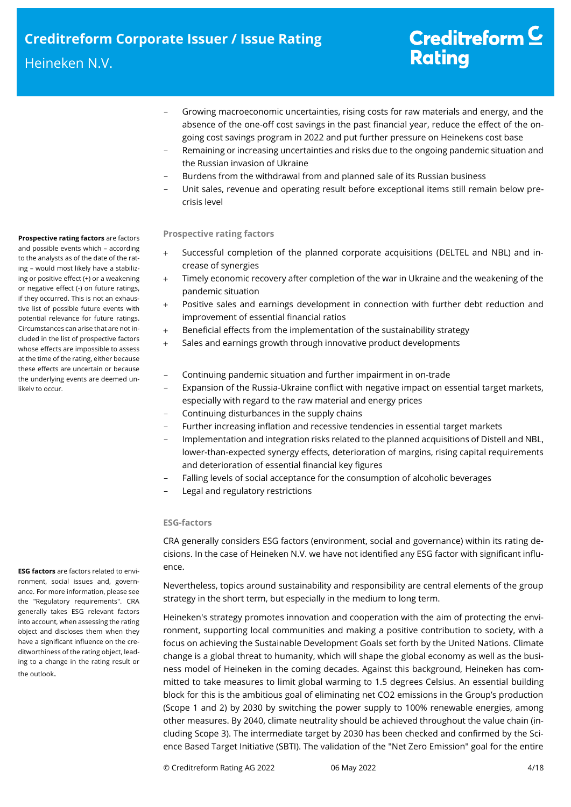- Growing macroeconomic uncertainties, rising costs for raw materials and energy, and the absence of the one-off cost savings in the past financial year, reduce the effect of the ongoing cost savings program in 2022 and put further pressure on Heinekens cost base
- Remaining or increasing uncertainties and risks due to the ongoing pandemic situation and the Russian invasion of Ukraine
- Burdens from the withdrawal from and planned sale of its Russian business
- Unit sales, revenue and operating result before exceptional items still remain below precrisis level

### **Prospective rating factors**

- Successful completion of the planned corporate acquisitions (DELTEL and NBL) and increase of synergies
- Timely economic recovery after completion of the war in Ukraine and the weakening of the pandemic situation
- Positive sales and earnings development in connection with further debt reduction and improvement of essential financial ratios
- Beneficial effects from the implementation of the sustainability strategy
- Sales and earnings growth through innovative product developments

## - Continuing pandemic situation and further impairment in on-trade

- Expansion of the Russia-Ukraine conflict with negative impact on essential target markets, especially with regard to the raw material and energy prices
- Continuing disturbances in the supply chains
- Further increasing inflation and recessive tendencies in essential target markets
- Implementation and integration risks related to the planned acquisitions of Distell and NBL, lower-than-expected synergy effects, deterioration of margins, rising capital requirements and deterioration of essential financial key figures
- Falling levels of social acceptance for the consumption of alcoholic beverages
- Legal and regulatory restrictions

### **ESG-factors**

CRA generally considers ESG factors (environment, social and governance) within its rating decisions. In the case of Heineken N.V. we have not identified any ESG factor with significant influence.

Nevertheless, topics around sustainability and responsibility are central elements of the group strategy in the short term, but especially in the medium to long term.

Heineken's strategy promotes innovation and cooperation with the aim of protecting the environment, supporting local communities and making a positive contribution to society, with a focus on achieving the Sustainable Development Goals set forth by the United Nations. Climate change is a global threat to humanity, which will shape the global economy as well as the business model of Heineken in the coming decades. Against this background, Heineken has committed to take measures to limit global warming to 1.5 degrees Celsius. An essential building block for this is the ambitious goal of eliminating net CO2 emissions in the Group's production (Scope 1 and 2) by 2030 by switching the power supply to 100% renewable energies, among other measures. By 2040, climate neutrality should be achieved throughout the value chain (including Scope 3). The intermediate target by 2030 has been checked and confirmed by the Science Based Target Initiative (SBTI). The validation of the "Net Zero Emission" goal for the entire

**Prospective rating factors** are factors and possible events which – according to the analysts as of the date of the rating – would most likely have a stabilizing or positive effect (+) or a weakening or negative effect (-) on future ratings, if they occurred. This is not an exhaustive list of possible future events with potential relevance for future ratings. Circumstances can arise that are not included in the list of prospective factors whose effects are impossible to assess at the time of the rating, either because these effects are uncertain or because the underlying events are deemed unlikely to occur.

**ESG factors** are factors related to environment, social issues and, governance. For more information, please see the "Regulatory requirements". CRA generally takes ESG relevant factors into account, when assessing the rating object and discloses them when they have a significant influence on the creditworthiness of the rating object, leading to a change in the rating result or the outlook.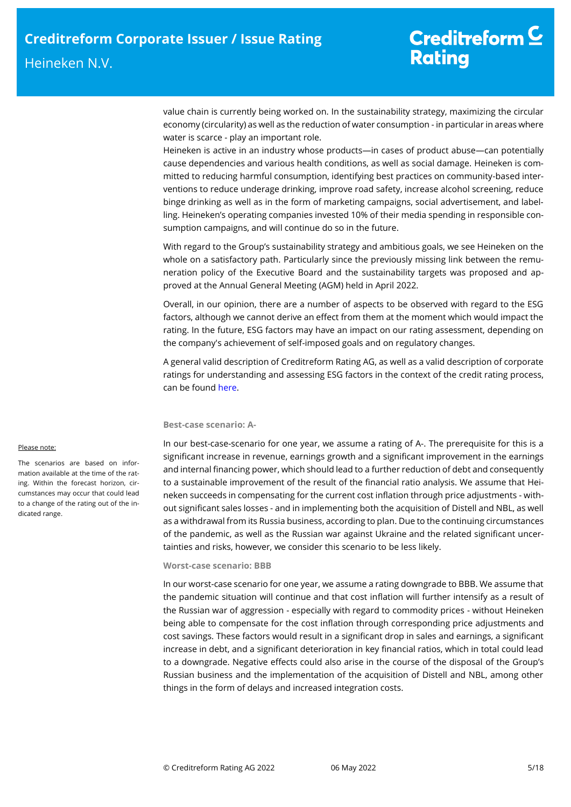value chain is currently being worked on. In the sustainability strategy, maximizing the circular economy (circularity) as well as the reduction of water consumption - in particular in areas where water is scarce - play an important role.

Heineken is active in an industry whose products—in cases of product abuse—can potentially cause dependencies and various health conditions, as well as social damage. Heineken is committed to reducing harmful consumption, identifying best practices on community-based interventions to reduce underage drinking, improve road safety, increase alcohol screening, reduce binge drinking as well as in the form of marketing campaigns, social advertisement, and labelling. Heineken's operating companies invested 10% of their media spending in responsible consumption campaigns, and will continue do so in the future.

With regard to the Group's sustainability strategy and ambitious goals, we see Heineken on the whole on a satisfactory path. Particularly since the previously missing link between the remuneration policy of the Executive Board and the sustainability targets was proposed and approved at the Annual General Meeting (AGM) held in April 2022.

Overall, in our opinion, there are a number of aspects to be observed with regard to the ESG factors, although we cannot derive an effect from them at the moment which would impact the rating. In the future, ESG factors may have an impact on our rating assessment, depending on the company's achievement of self-imposed goals and on regulatory changes.

A general valid description of Creditreform Rating AG, as well as a valid description of corporate ratings for understanding and assessing ESG factors in the context of the credit rating process, can be foun[d here.](https://creditreform-rating.de/en/about-us/regulatory-requirements.html?file=files/content/downloads/Externes%20Rating/Regulatorische%20Anforderungen/EN/Ratingmethodiken%20EN/The%20Impact%20of%20ESG%20Factors%20on%20Credit%20Ratings.pdf)

### **Best-case scenario: A-**

In our best-case-scenario for one year, we assume a rating of A-. The prerequisite for this is a significant increase in revenue, earnings growth and a significant improvement in the earnings and internal financing power, which should lead to a further reduction of debt and consequently to a sustainable improvement of the result of the financial ratio analysis. We assume that Heineken succeeds in compensating for the current cost inflation through price adjustments - without significant sales losses - and in implementing both the acquisition of Distell and NBL, as well as a withdrawal from its Russia business, according to plan. Due to the continuing circumstances of the pandemic, as well as the Russian war against Ukraine and the related significant uncertainties and risks, however, we consider this scenario to be less likely.

## **Worst-case scenario: BBB**

In our worst-case scenario for one year, we assume a rating downgrade to BBB. We assume that the pandemic situation will continue and that cost inflation will further intensify as a result of the Russian war of aggression - especially with regard to commodity prices - without Heineken being able to compensate for the cost inflation through corresponding price adjustments and cost savings. These factors would result in a significant drop in sales and earnings, a significant increase in debt, and a significant deterioration in key financial ratios, which in total could lead to a downgrade. Negative effects could also arise in the course of the disposal of the Group's Russian business and the implementation of the acquisition of Distell and NBL, among other things in the form of delays and increased integration costs.

## Please note:

The scenarios are based on information available at the time of the rating. Within the forecast horizon, circumstances may occur that could lead to a change of the rating out of the indicated range.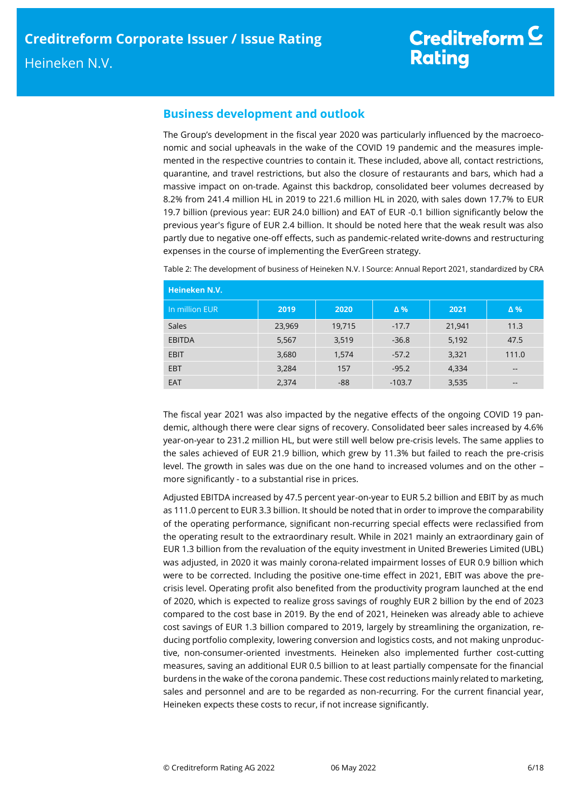## **Business development and outlook**

The Group's development in the fiscal year 2020 was particularly influenced by the macroeconomic and social upheavals in the wake of the COVID 19 pandemic and the measures implemented in the respective countries to contain it. These included, above all, contact restrictions, quarantine, and travel restrictions, but also the closure of restaurants and bars, which had a massive impact on on-trade. Against this backdrop, consolidated beer volumes decreased by 8.2% from 241.4 million HL in 2019 to 221.6 million HL in 2020, with sales down 17.7% to EUR 19.7 billion (previous year: EUR 24.0 billion) and EAT of EUR -0.1 billion significantly below the previous year's figure of EUR 2.4 billion. It should be noted here that the weak result was also partly due to negative one-off effects, such as pandemic-related write-downs and restructuring expenses in the course of implementing the EverGreen strategy.

| Heineken N.V.  |        |        |            |        |                          |  |  |
|----------------|--------|--------|------------|--------|--------------------------|--|--|
| In million EUR | 2019   | 2020   | $\Delta$ % | 2021   | $\Delta$ %               |  |  |
| Sales          | 23,969 | 19,715 | $-17.7$    | 21,941 | 11.3                     |  |  |
| <b>EBITDA</b>  | 5,567  | 3,519  | $-36.8$    | 5,192  | 47.5                     |  |  |
| <b>EBIT</b>    | 3,680  | 1,574  | $-57.2$    | 3,321  | 111.0                    |  |  |
| <b>EBT</b>     | 3,284  | 157    | $-95.2$    | 4,334  | $\overline{\phantom{m}}$ |  |  |
| <b>EAT</b>     | 2,374  | $-88$  | $-103.7$   | 3,535  |                          |  |  |

Table 2: The development of business of Heineken N.V. I Source: Annual Report 2021, standardized by CRA

The fiscal year 2021 was also impacted by the negative effects of the ongoing COVID 19 pandemic, although there were clear signs of recovery. Consolidated beer sales increased by 4.6% year-on-year to 231.2 million HL, but were still well below pre-crisis levels. The same applies to the sales achieved of EUR 21.9 billion, which grew by 11.3% but failed to reach the pre-crisis level. The growth in sales was due on the one hand to increased volumes and on the other – more significantly - to a substantial rise in prices.

Adjusted EBITDA increased by 47.5 percent year-on-year to EUR 5.2 billion and EBIT by as much as 111.0 percent to EUR 3.3 billion. It should be noted that in order to improve the comparability of the operating performance, significant non-recurring special effects were reclassified from the operating result to the extraordinary result. While in 2021 mainly an extraordinary gain of EUR 1.3 billion from the revaluation of the equity investment in United Breweries Limited (UBL) was adjusted, in 2020 it was mainly corona-related impairment losses of EUR 0.9 billion which were to be corrected. Including the positive one-time effect in 2021, EBIT was above the precrisis level. Operating profit also benefited from the productivity program launched at the end of 2020, which is expected to realize gross savings of roughly EUR 2 billion by the end of 2023 compared to the cost base in 2019. By the end of 2021, Heineken was already able to achieve cost savings of EUR 1.3 billion compared to 2019, largely by streamlining the organization, reducing portfolio complexity, lowering conversion and logistics costs, and not making unproductive, non-consumer-oriented investments. Heineken also implemented further cost-cutting measures, saving an additional EUR 0.5 billion to at least partially compensate for the financial burdens in the wake of the corona pandemic. These cost reductions mainly related to marketing, sales and personnel and are to be regarded as non-recurring. For the current financial year, Heineken expects these costs to recur, if not increase significantly.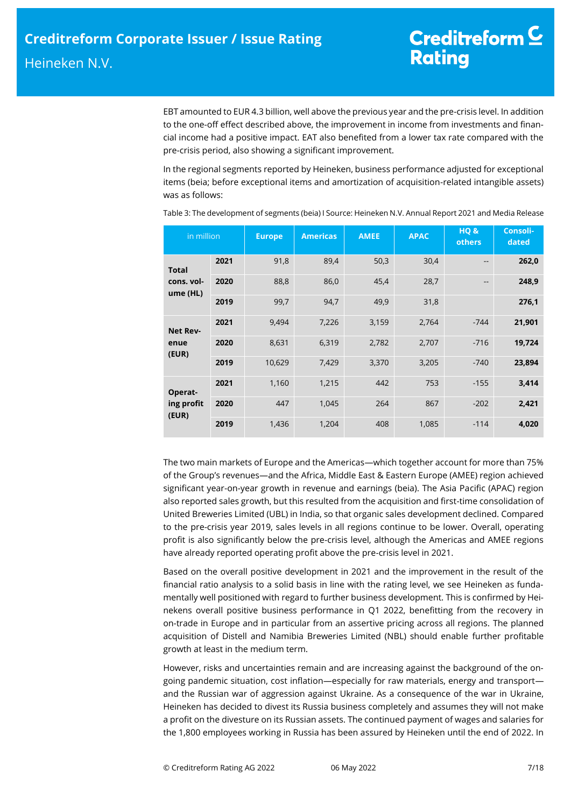EBT amounted to EUR 4.3 billion, well above the previous year and the pre-crisis level. In addition to the one-off effect described above, the improvement in income from investments and financial income had a positive impact. EAT also benefited from a lower tax rate compared with the pre-crisis period, also showing a significant improvement.

In the regional segments reported by Heineken, business performance adjusted for exceptional items (beia; before exceptional items and amortization of acquisition-related intangible assets) was as follows:

| in million             |      | <b>Europe</b> | <b>Americas</b> | <b>AMEE</b> | <b>APAC</b> | HQ&<br>others | Consoli-<br>dated |
|------------------------|------|---------------|-----------------|-------------|-------------|---------------|-------------------|
| <b>Total</b>           | 2021 | 91,8          | 89,4            | 50,3        | 30,4        | --            | 262,0             |
| cons. vol-<br>ume (HL) | 2020 | 88,8          | 86,0            | 45,4        | 28,7        | $- -$         | 248,9             |
|                        | 2019 | 99,7          | 94,7            | 49,9        | 31,8        |               | 276,1             |
| <b>Net Rev-</b>        | 2021 | 9.494         | 7,226           | 3,159       | 2,764       | $-744$        | 21,901            |
| enue<br>(EUR)          | 2020 | 8,631         | 6,319           | 2,782       | 2,707       | $-716$        | 19,724            |
|                        | 2019 | 10,629        | 7,429           | 3,370       | 3,205       | $-740$        | 23,894            |
| Operat-                | 2021 | 1,160         | 1,215           | 442         | 753         | $-155$        | 3,414             |
| ing profit<br>(EUR)    | 2020 | 447           | 1,045           | 264         | 867         | $-202$        | 2,421             |
|                        | 2019 | 1,436         | 1,204           | 408         | 1,085       | $-114$        | 4,020             |

Table 3: The development of segments (beia) I Source: Heineken N.V. Annual Report 2021 and Media Release

The two main markets of Europe and the Americas—which together account for more than 75% of the Group's revenues—and the Africa, Middle East & Eastern Europe (AMEE) region achieved significant year-on-year growth in revenue and earnings (beia). The Asia Pacific (APAC) region also reported sales growth, but this resulted from the acquisition and first-time consolidation of United Breweries Limited (UBL) in India, so that organic sales development declined. Compared to the pre-crisis year 2019, sales levels in all regions continue to be lower. Overall, operating profit is also significantly below the pre-crisis level, although the Americas and AMEE regions have already reported operating profit above the pre-crisis level in 2021.

Based on the overall positive development in 2021 and the improvement in the result of the financial ratio analysis to a solid basis in line with the rating level, we see Heineken as fundamentally well positioned with regard to further business development. This is confirmed by Heinekens overall positive business performance in Q1 2022, benefitting from the recovery in on-trade in Europe and in particular from an assertive pricing across all regions. The planned acquisition of Distell and Namibia Breweries Limited (NBL) should enable further profitable growth at least in the medium term.

However, risks and uncertainties remain and are increasing against the background of the ongoing pandemic situation, cost inflation—especially for raw materials, energy and transport and the Russian war of aggression against Ukraine. As a consequence of the war in Ukraine, Heineken has decided to divest its Russia business completely and assumes they will not make a profit on the divesture on its Russian assets. The continued payment of wages and salaries for the 1,800 employees working in Russia has been assured by Heineken until the end of 2022. In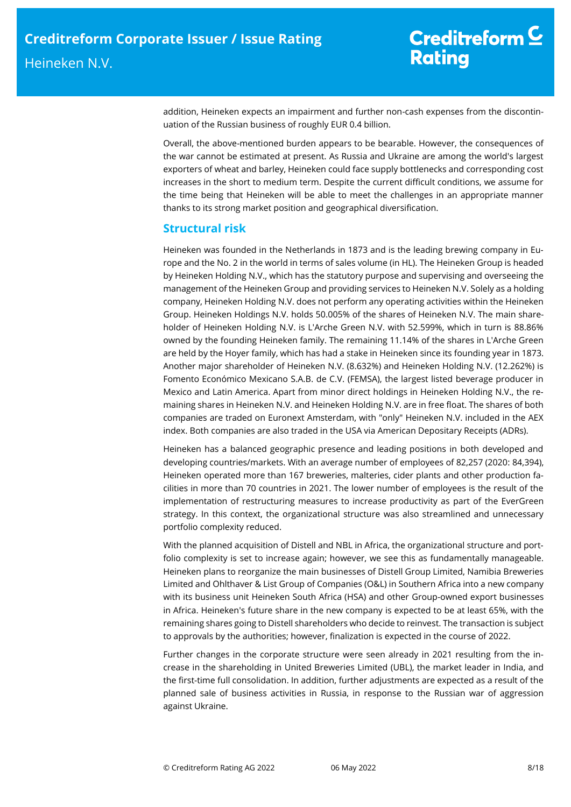addition, Heineken expects an impairment and further non-cash expenses from the discontinuation of the Russian business of roughly EUR 0.4 billion.

Overall, the above-mentioned burden appears to be bearable. However, the consequences of the war cannot be estimated at present. As Russia and Ukraine are among the world's largest exporters of wheat and barley, Heineken could face supply bottlenecks and corresponding cost increases in the short to medium term. Despite the current difficult conditions, we assume for the time being that Heineken will be able to meet the challenges in an appropriate manner thanks to its strong market position and geographical diversification.

## **Structural risk**

Heineken was founded in the Netherlands in 1873 and is the leading brewing company in Europe and the No. 2 in the world in terms of sales volume (in HL). The Heineken Group is headed by Heineken Holding N.V., which has the statutory purpose and supervising and overseeing the management of the Heineken Group and providing services to Heineken N.V. Solely as a holding company, Heineken Holding N.V. does not perform any operating activities within the Heineken Group. Heineken Holdings N.V. holds 50.005% of the shares of Heineken N.V. The main shareholder of Heineken Holding N.V. is L'Arche Green N.V. with 52.599%, which in turn is 88.86% owned by the founding Heineken family. The remaining 11.14% of the shares in L'Arche Green are held by the Hoyer family, which has had a stake in Heineken since its founding year in 1873. Another major shareholder of Heineken N.V. (8.632%) and Heineken Holding N.V. (12.262%) is Fomento Económico Mexicano S.A.B. de C.V. (FEMSA), the largest listed beverage producer in Mexico and Latin America. Apart from minor direct holdings in Heineken Holding N.V., the remaining shares in Heineken N.V. and Heineken Holding N.V. are in free float. The shares of both companies are traded on Euronext Amsterdam, with "only" Heineken N.V. included in the AEX index. Both companies are also traded in the USA via American Depositary Receipts (ADRs).

Heineken has a balanced geographic presence and leading positions in both developed and developing countries/markets. With an average number of employees of 82,257 (2020: 84,394), Heineken operated more than 167 breweries, malteries, cider plants and other production facilities in more than 70 countries in 2021. The lower number of employees is the result of the implementation of restructuring measures to increase productivity as part of the EverGreen strategy. In this context, the organizational structure was also streamlined and unnecessary portfolio complexity reduced.

With the planned acquisition of Distell and NBL in Africa, the organizational structure and portfolio complexity is set to increase again; however, we see this as fundamentally manageable. Heineken plans to reorganize the main businesses of Distell Group Limited, Namibia Breweries Limited and Ohlthaver & List Group of Companies (O&L) in Southern Africa into a new company with its business unit Heineken South Africa (HSA) and other Group-owned export businesses in Africa. Heineken's future share in the new company is expected to be at least 65%, with the remaining shares going to Distell shareholders who decide to reinvest. The transaction is subject to approvals by the authorities; however, finalization is expected in the course of 2022.

Further changes in the corporate structure were seen already in 2021 resulting from the increase in the shareholding in United Breweries Limited (UBL), the market leader in India, and the first-time full consolidation. In addition, further adjustments are expected as a result of the planned sale of business activities in Russia, in response to the Russian war of aggression against Ukraine.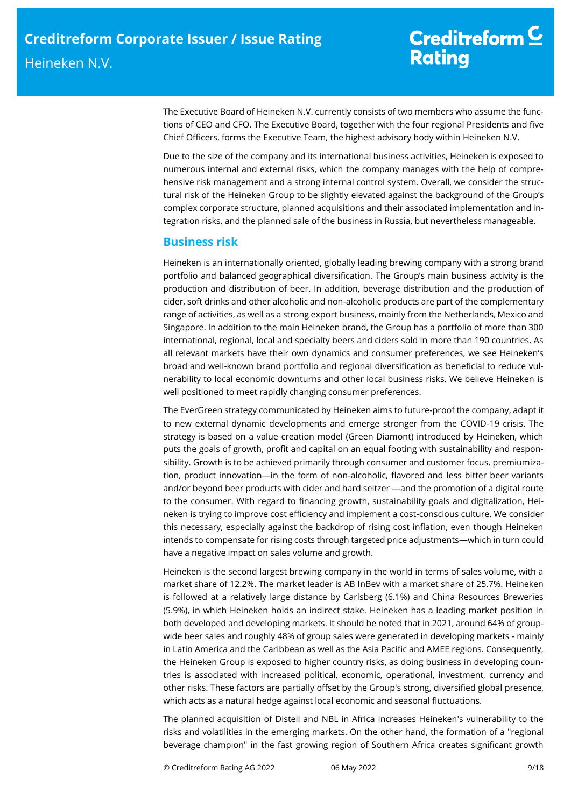## Creditreform  $C$ **Rating**

The Executive Board of Heineken N.V. currently consists of two members who assume the functions of CEO and CFO. The Executive Board, together with the four regional Presidents and five Chief Officers, forms the Executive Team, the highest advisory body within Heineken N.V.

Due to the size of the company and its international business activities, Heineken is exposed to numerous internal and external risks, which the company manages with the help of comprehensive risk management and a strong internal control system. Overall, we consider the structural risk of the Heineken Group to be slightly elevated against the background of the Group's complex corporate structure, planned acquisitions and their associated implementation and integration risks, and the planned sale of the business in Russia, but nevertheless manageable.

## **Business risk**

Heineken is an internationally oriented, globally leading brewing company with a strong brand portfolio and balanced geographical diversification. The Group's main business activity is the production and distribution of beer. In addition, beverage distribution and the production of cider, soft drinks and other alcoholic and non-alcoholic products are part of the complementary range of activities, as well as a strong export business, mainly from the Netherlands, Mexico and Singapore. In addition to the main Heineken brand, the Group has a portfolio of more than 300 international, regional, local and specialty beers and ciders sold in more than 190 countries. As all relevant markets have their own dynamics and consumer preferences, we see Heineken's broad and well-known brand portfolio and regional diversification as beneficial to reduce vulnerability to local economic downturns and other local business risks. We believe Heineken is well positioned to meet rapidly changing consumer preferences.

The EverGreen strategy communicated by Heineken aims to future-proof the company, adapt it to new external dynamic developments and emerge stronger from the COVID-19 crisis. The strategy is based on a value creation model (Green Diamont) introduced by Heineken, which puts the goals of growth, profit and capital on an equal footing with sustainability and responsibility. Growth is to be achieved primarily through consumer and customer focus, premiumization, product innovation—in the form of non-alcoholic, flavored and less bitter beer variants and/or beyond beer products with cider and hard seltzer —and the promotion of a digital route to the consumer. With regard to financing growth, sustainability goals and digitalization, Heineken is trying to improve cost efficiency and implement a cost-conscious culture. We consider this necessary, especially against the backdrop of rising cost inflation, even though Heineken intends to compensate for rising costs through targeted price adjustments—which in turn could have a negative impact on sales volume and growth.

Heineken is the second largest brewing company in the world in terms of sales volume, with a market share of 12.2%. The market leader is AB InBev with a market share of 25.7%. Heineken is followed at a relatively large distance by Carlsberg (6.1%) and China Resources Breweries (5.9%), in which Heineken holds an indirect stake. Heineken has a leading market position in both developed and developing markets. It should be noted that in 2021, around 64% of groupwide beer sales and roughly 48% of group sales were generated in developing markets - mainly in Latin America and the Caribbean as well as the Asia Pacific and AMEE regions. Consequently, the Heineken Group is exposed to higher country risks, as doing business in developing countries is associated with increased political, economic, operational, investment, currency and other risks. These factors are partially offset by the Group's strong, diversified global presence, which acts as a natural hedge against local economic and seasonal fluctuations.

The planned acquisition of Distell and NBL in Africa increases Heineken's vulnerability to the risks and volatilities in the emerging markets. On the other hand, the formation of a "regional beverage champion" in the fast growing region of Southern Africa creates significant growth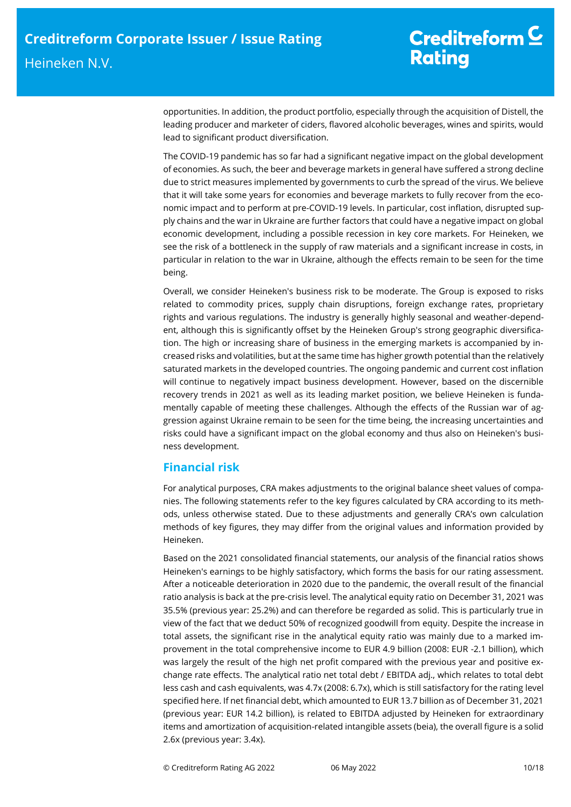opportunities. In addition, the product portfolio, especially through the acquisition of Distell, the leading producer and marketer of ciders, flavored alcoholic beverages, wines and spirits, would lead to significant product diversification.

The COVID-19 pandemic has so far had a significant negative impact on the global development of economies. As such, the beer and beverage markets in general have suffered a strong decline due to strict measures implemented by governments to curb the spread of the virus. We believe that it will take some years for economies and beverage markets to fully recover from the economic impact and to perform at pre-COVID-19 levels. In particular, cost inflation, disrupted supply chains and the war in Ukraine are further factors that could have a negative impact on global economic development, including a possible recession in key core markets. For Heineken, we see the risk of a bottleneck in the supply of raw materials and a significant increase in costs, in particular in relation to the war in Ukraine, although the effects remain to be seen for the time being.

Overall, we consider Heineken's business risk to be moderate. The Group is exposed to risks related to commodity prices, supply chain disruptions, foreign exchange rates, proprietary rights and various regulations. The industry is generally highly seasonal and weather-dependent, although this is significantly offset by the Heineken Group's strong geographic diversification. The high or increasing share of business in the emerging markets is accompanied by increased risks and volatilities, but at the same time has higher growth potential than the relatively saturated markets in the developed countries. The ongoing pandemic and current cost inflation will continue to negatively impact business development. However, based on the discernible recovery trends in 2021 as well as its leading market position, we believe Heineken is fundamentally capable of meeting these challenges. Although the effects of the Russian war of aggression against Ukraine remain to be seen for the time being, the increasing uncertainties and risks could have a significant impact on the global economy and thus also on Heineken's business development.

## **Financial risk**

For analytical purposes, CRA makes adjustments to the original balance sheet values of companies. The following statements refer to the key figures calculated by CRA according to its methods, unless otherwise stated. Due to these adjustments and generally CRA's own calculation methods of key figures, they may differ from the original values and information provided by Heineken.

Based on the 2021 consolidated financial statements, our analysis of the financial ratios shows Heineken's earnings to be highly satisfactory, which forms the basis for our rating assessment. After a noticeable deterioration in 2020 due to the pandemic, the overall result of the financial ratio analysis is back at the pre-crisis level. The analytical equity ratio on December 31, 2021 was 35.5% (previous year: 25.2%) and can therefore be regarded as solid. This is particularly true in view of the fact that we deduct 50% of recognized goodwill from equity. Despite the increase in total assets, the significant rise in the analytical equity ratio was mainly due to a marked improvement in the total comprehensive income to EUR 4.9 billion (2008: EUR -2.1 billion), which was largely the result of the high net profit compared with the previous year and positive exchange rate effects. The analytical ratio net total debt / EBITDA adj., which relates to total debt less cash and cash equivalents, was 4.7x (2008: 6.7x), which is still satisfactory for the rating level specified here. If net financial debt, which amounted to EUR 13.7 billion as of December 31, 2021 (previous year: EUR 14.2 billion), is related to EBITDA adjusted by Heineken for extraordinary items and amortization of acquisition-related intangible assets (beia), the overall figure is a solid 2.6x (previous year: 3.4x).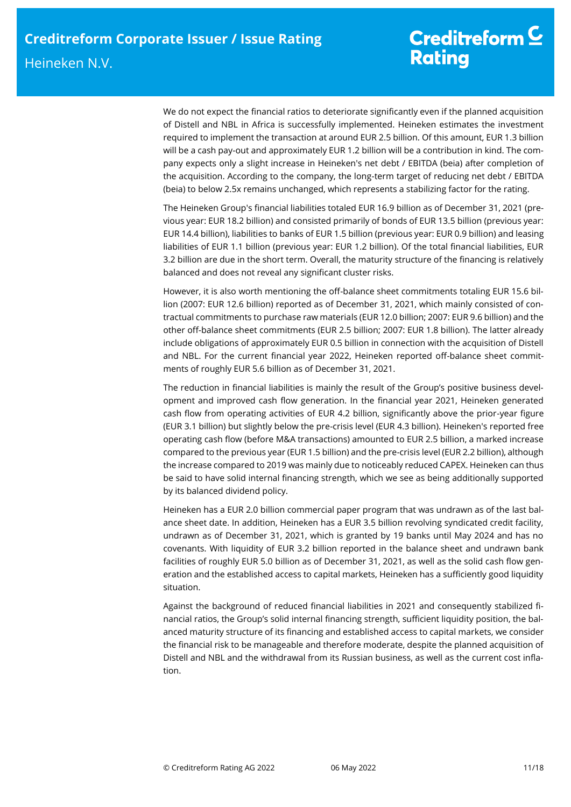We do not expect the financial ratios to deteriorate significantly even if the planned acquisition of Distell and NBL in Africa is successfully implemented. Heineken estimates the investment required to implement the transaction at around EUR 2.5 billion. Of this amount, EUR 1.3 billion will be a cash pay-out and approximately EUR 1.2 billion will be a contribution in kind. The company expects only a slight increase in Heineken's net debt / EBITDA (beia) after completion of the acquisition. According to the company, the long-term target of reducing net debt / EBITDA (beia) to below 2.5x remains unchanged, which represents a stabilizing factor for the rating.

The Heineken Group's financial liabilities totaled EUR 16.9 billion as of December 31, 2021 (previous year: EUR 18.2 billion) and consisted primarily of bonds of EUR 13.5 billion (previous year: EUR 14.4 billion), liabilities to banks of EUR 1.5 billion (previous year: EUR 0.9 billion) and leasing liabilities of EUR 1.1 billion (previous year: EUR 1.2 billion). Of the total financial liabilities, EUR 3.2 billion are due in the short term. Overall, the maturity structure of the financing is relatively balanced and does not reveal any significant cluster risks.

However, it is also worth mentioning the off-balance sheet commitments totaling EUR 15.6 billion (2007: EUR 12.6 billion) reported as of December 31, 2021, which mainly consisted of contractual commitments to purchase raw materials (EUR 12.0 billion; 2007: EUR 9.6 billion) and the other off-balance sheet commitments (EUR 2.5 billion; 2007: EUR 1.8 billion). The latter already include obligations of approximately EUR 0.5 billion in connection with the acquisition of Distell and NBL. For the current financial year 2022, Heineken reported off-balance sheet commitments of roughly EUR 5.6 billion as of December 31, 2021.

The reduction in financial liabilities is mainly the result of the Group's positive business development and improved cash flow generation. In the financial year 2021, Heineken generated cash flow from operating activities of EUR 4.2 billion, significantly above the prior-year figure (EUR 3.1 billion) but slightly below the pre-crisis level (EUR 4.3 billion). Heineken's reported free operating cash flow (before M&A transactions) amounted to EUR 2.5 billion, a marked increase compared to the previous year (EUR 1.5 billion) and the pre-crisis level (EUR 2.2 billion), although the increase compared to 2019 was mainly due to noticeably reduced CAPEX. Heineken can thus be said to have solid internal financing strength, which we see as being additionally supported by its balanced dividend policy.

Heineken has a EUR 2.0 billion commercial paper program that was undrawn as of the last balance sheet date. In addition, Heineken has a EUR 3.5 billion revolving syndicated credit facility, undrawn as of December 31, 2021, which is granted by 19 banks until May 2024 and has no covenants. With liquidity of EUR 3.2 billion reported in the balance sheet and undrawn bank facilities of roughly EUR 5.0 billion as of December 31, 2021, as well as the solid cash flow generation and the established access to capital markets, Heineken has a sufficiently good liquidity situation.

Against the background of reduced financial liabilities in 2021 and consequently stabilized financial ratios, the Group's solid internal financing strength, sufficient liquidity position, the balanced maturity structure of its financing and established access to capital markets, we consider the financial risk to be manageable and therefore moderate, despite the planned acquisition of Distell and NBL and the withdrawal from its Russian business, as well as the current cost inflation.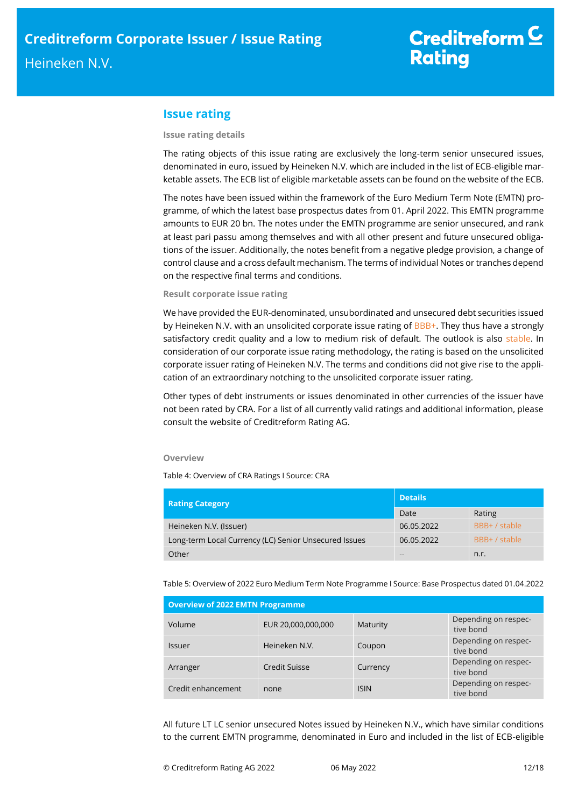## **Issue rating**

#### **Issue rating details**

The rating objects of this issue rating are exclusively the long-term senior unsecured issues, denominated in euro, issued by Heineken N.V. which are included in the list of ECB-eligible marketable assets. The ECB list of eligible marketable assets can be found on the website of the ECB.

The notes have been issued within the framework of the Euro Medium Term Note (EMTN) programme, of which the latest base prospectus dates from 01. April 2022. This EMTN programme amounts to EUR 20 bn. The notes under the EMTN programme are senior unsecured, and rank at least pari passu among themselves and with all other present and future unsecured obligations of the issuer. Additionally, the notes benefit from a negative pledge provision, a change of control clause and a cross default mechanism. The terms of individual Notes or tranches depend on the respective final terms and conditions.

### **Result corporate issue rating**

We have provided the EUR-denominated, unsubordinated and unsecured debt securities issued by Heineken N.V. with an unsolicited corporate issue rating of  $BBB+$ . They thus have a strongly satisfactory credit quality and a low to medium risk of default. The outlook is also stable. In consideration of our corporate issue rating methodology, the rating is based on the unsolicited corporate issuer rating of Heineken N.V. The terms and conditions did not give rise to the application of an extraordinary notching to the unsolicited corporate issuer rating.

Other types of debt instruments or issues denominated in other currencies of the issuer have not been rated by CRA. For a list of all currently valid ratings and additional information, please consult the website of Creditreform Rating AG.

### **Overview**

Table 4: Overview of CRA Ratings I Source: CRA

| <b>Rating Category</b>                                | <b>Details</b> |               |  |
|-------------------------------------------------------|----------------|---------------|--|
|                                                       | Date           | Rating        |  |
| Heineken N.V. (Issuer)                                | 06.05.2022     | BBB+ / stable |  |
| Long-term Local Currency (LC) Senior Unsecured Issues | 06.05.2022     | BBB+ / stable |  |
| Other                                                 |                | n.r.          |  |

Table 5: Overview of 2022 Euro Medium Term Note Programme I Source: Base Prospectus dated 01.04.2022

| <b>Overview of 2022 EMTN Programme</b> |                    |             |                                   |  |  |  |
|----------------------------------------|--------------------|-------------|-----------------------------------|--|--|--|
| Volume                                 | EUR 20,000,000,000 | Maturity    | Depending on respec-<br>tive bond |  |  |  |
| <b>Issuer</b>                          | Heineken N.V.      | Coupon      | Depending on respec-<br>tive bond |  |  |  |
| Arranger                               | Credit Suisse      | Currency    | Depending on respec-<br>tive bond |  |  |  |
| Credit enhancement                     | none               | <b>ISIN</b> | Depending on respec-<br>tive bond |  |  |  |

All future LT LC senior unsecured Notes issued by Heineken N.V., which have similar conditions to the current EMTN programme, denominated in Euro and included in the list of ECB-eligible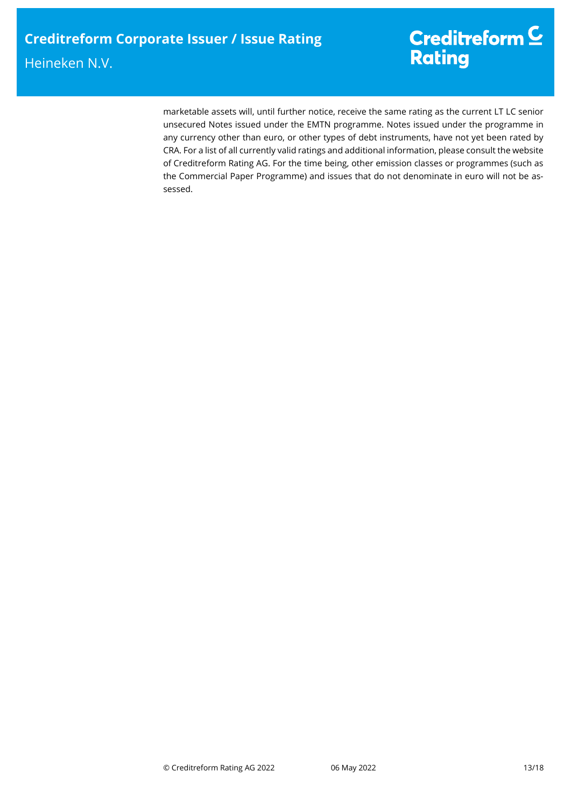marketable assets will, until further notice, receive the same rating as the current LT LC senior unsecured Notes issued under the EMTN programme. Notes issued under the programme in any currency other than euro, or other types of debt instruments, have not yet been rated by CRA. For a list of all currently valid ratings and additional information, please consult the website of Creditreform Rating AG. For the time being, other emission classes or programmes (such as the Commercial Paper Programme) and issues that do not denominate in euro will not be assessed.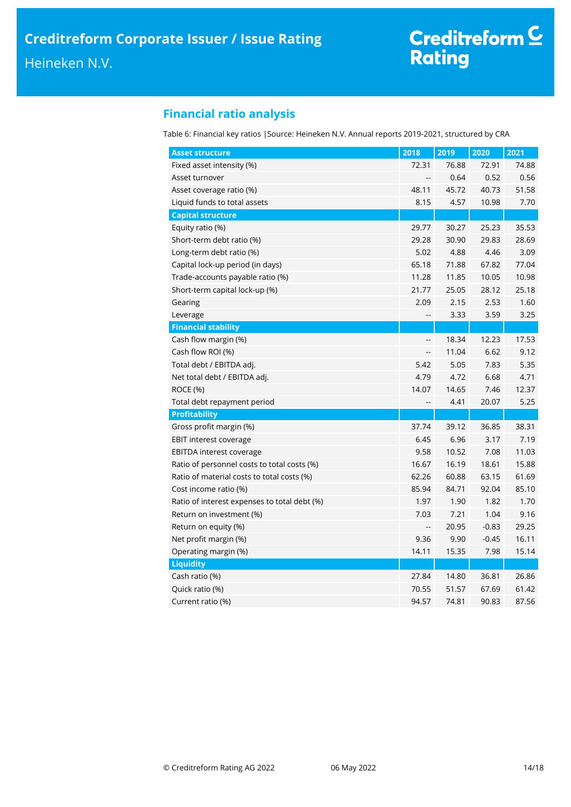## **Financial ratio analysis**

Table 6: Financial key ratios |Source: Heineken N.V. Annual reports 2019-2021, structured by CRA

| <b>Asset structure</b>                       | 2018                     | 2019  | 2020    | 2021  |
|----------------------------------------------|--------------------------|-------|---------|-------|
| Fixed asset intensity (%)                    | 72.31                    | 76.88 | 72.91   | 74.88 |
| Asset turnover                               | $\overline{\phantom{a}}$ | 0.64  | 0.52    | 0.56  |
| Asset coverage ratio (%)                     | 48.11                    | 45.72 | 40.73   | 51.58 |
| Liquid funds to total assets                 | 8.15                     | 4.57  | 10.98   | 7.70  |
| <b>Capital structure</b>                     |                          |       |         |       |
| Equity ratio (%)                             | 29.77                    | 30.27 | 25.23   | 35.53 |
| Short-term debt ratio (%)                    | 29.28                    | 30.90 | 29.83   | 28.69 |
| Long-term debt ratio (%)                     | 5.02                     | 4.88  | 4.46    | 3.09  |
| Capital lock-up period (in days)             | 65.18                    | 71.88 | 67.82   | 77.04 |
| Trade-accounts payable ratio (%)             | 11.28                    | 11.85 | 10.05   | 10.98 |
| Short-term capital lock-up (%)               | 21.77                    | 25.05 | 28.12   | 25.18 |
| Gearing                                      | 2.09                     | 2.15  | 2.53    | 1.60  |
| Leverage                                     | --                       | 3.33  | 3.59    | 3.25  |
| <b>Financial stability</b>                   |                          |       |         |       |
| Cash flow margin (%)                         | --                       | 18.34 | 12.23   | 17.53 |
| Cash flow ROI (%)                            | $\overline{\phantom{a}}$ | 11.04 | 6.62    | 9.12  |
| Total debt / EBITDA adj.                     | 5.42                     | 5.05  | 7.83    | 5.35  |
| Net total debt / EBITDA adj.                 | 4.79                     | 4.72  | 6.68    | 4.71  |
| ROCE (%)                                     | 14.07                    | 14.65 | 7.46    | 12.37 |
| Total debt repayment period                  | $\overline{\phantom{a}}$ | 4.41  | 20.07   | 5.25  |
| <b>Profitability</b>                         |                          |       |         |       |
| Gross profit margin (%)                      | 37.74                    | 39.12 | 36.85   | 38.31 |
| <b>EBIT interest coverage</b>                | 6.45                     | 6.96  | 3.17    | 7.19  |
| <b>EBITDA interest coverage</b>              | 9.58                     | 10.52 | 7.08    | 11.03 |
| Ratio of personnel costs to total costs (%)  | 16.67                    | 16.19 | 18.61   | 15.88 |
| Ratio of material costs to total costs (%)   | 62.26                    | 60.88 | 63.15   | 61.69 |
| Cost income ratio (%)                        | 85.94                    | 84.71 | 92.04   | 85.10 |
| Ratio of interest expenses to total debt (%) | 1.97                     | 1.90  | 1.82    | 1.70  |
| Return on investment (%)                     | 7.03                     | 7.21  | 1.04    | 9.16  |
| Return on equity (%)                         | $\overline{\phantom{a}}$ | 20.95 | $-0.83$ | 29.25 |
| Net profit margin (%)                        | 9.36                     | 9.90  | $-0.45$ | 16.11 |
| Operating margin (%)                         | 14.11                    | 15.35 | 7.98    | 15.14 |
| <b>Liquidity</b>                             |                          |       |         |       |
| Cash ratio (%)                               | 27.84                    | 14.80 | 36.81   | 26.86 |
| Quick ratio (%)                              | 70.55                    | 51.57 | 67.69   | 61.42 |
| Current ratio (%)                            | 94.57                    | 74.81 | 90.83   | 87.56 |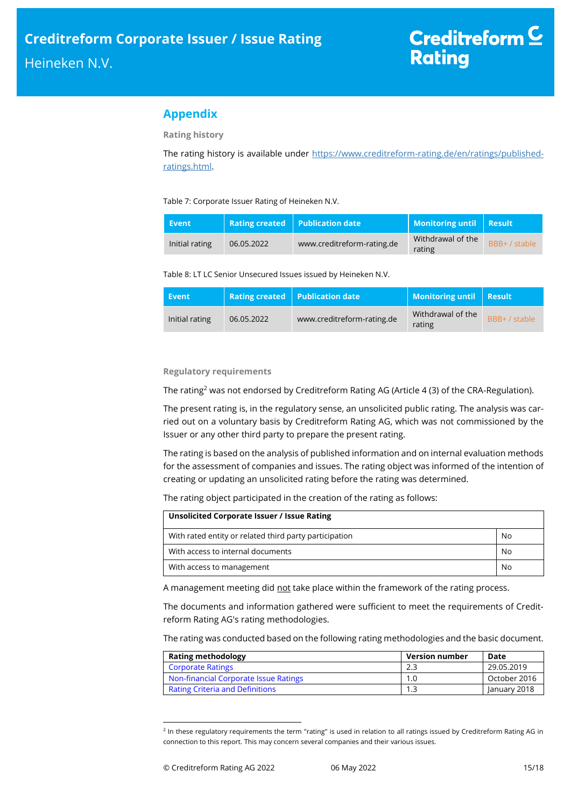## **Appendix**

**Rating history**

The rating history is available under [https://www.creditreform-rating.de/en/ratings/published](https://www.creditreform-rating.de/en/ratings/published-ratings.html)[ratings.html.](https://www.creditreform-rating.de/en/ratings/published-ratings.html)

Table 7: Corporate Issuer Rating of Heineken N.V.

| Event          |            | <b>Rating created Publication date</b> | Monitoring until Result     |               |
|----------------|------------|----------------------------------------|-----------------------------|---------------|
| Initial rating | 06.05.2022 | www.creditreform-rating.de             | Withdrawal of the<br>rating | BBB+ / stable |

Table 8: LT LC Senior Unsecured Issues issued by Heineken N.V.

| Event          |            | <b>Rating created</b> Publication date | <b>Monitoring until Result</b> |               |
|----------------|------------|----------------------------------------|--------------------------------|---------------|
| Initial rating | 06.05.2022 | www.creditreform-rating.de             | Withdrawal of the<br>rating    | BBB+ / stable |

## **Regulatory requirements**

The rating<sup>2</sup> was not endorsed by Creditreform Rating AG (Article 4 (3) of the CRA-Regulation).

The present rating is, in the regulatory sense, an unsolicited public rating. The analysis was carried out on a voluntary basis by Creditreform Rating AG, which was not commissioned by the Issuer or any other third party to prepare the present rating.

The rating is based on the analysis of published information and on internal evaluation methods for the assessment of companies and issues. The rating object was informed of the intention of creating or updating an unsolicited rating before the rating was determined.

The rating object participated in the creation of the rating as follows:

| Unsolicited Corporate Issuer / Issue Rating            |    |  |  |  |  |
|--------------------------------------------------------|----|--|--|--|--|
| With rated entity or related third party participation | No |  |  |  |  |
| With access to internal documents                      | No |  |  |  |  |
| With access to management                              | No |  |  |  |  |

A management meeting did not take place within the framework of the rating process.

The documents and information gathered were sufficient to meet the requirements of Creditreform Rating AG's rating methodologies.

The rating was conducted based on the following rating methodologies and the basic document.

| <b>Rating methodology</b>              | <b>Version number</b> | Date         |  |
|----------------------------------------|-----------------------|--------------|--|
| <b>Corporate Ratings</b>               | 2.3                   | 29.05.2019   |  |
| Non-financial Corporate Issue Ratings  |                       | October 2016 |  |
| <b>Rating Criteria and Definitions</b> |                       | January 2018 |  |

<sup>&</sup>lt;sup>2</sup> In these regulatory requirements the term "rating" is used in relation to all ratings issued by Creditreform Rating AG in connection to this report. This may concern several companies and their various issues.

 $\overline{a}$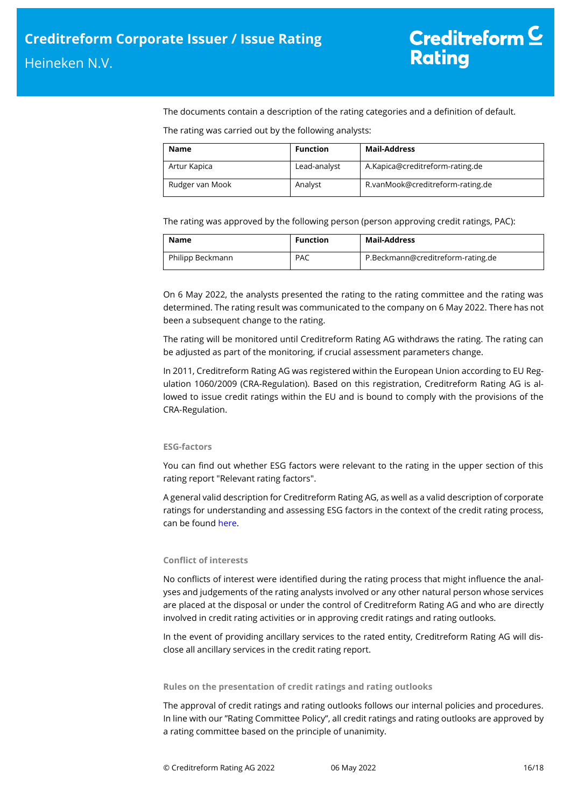The documents contain a description of the rating categories and a definition of default.

The rating was carried out by the following analysts:

| <b>Name</b>     | <b>Function</b> | <b>Mail-Address</b>              |
|-----------------|-----------------|----------------------------------|
| Artur Kapica    | Lead-analyst    | A.Kapica@creditreform-rating.de  |
| Rudger van Mook | Analyst         | R.vanMook@creditreform-rating.de |

The rating was approved by the following person (person approving credit ratings, PAC):

| Name             | <b>Function</b> | <b>Mail-Address</b>               |
|------------------|-----------------|-----------------------------------|
| Philipp Beckmann | <b>PAC</b>      | P.Beckmann@creditreform-rating.de |

On 6 May 2022, the analysts presented the rating to the rating committee and the rating was determined. The rating result was communicated to the company on 6 May 2022. There has not been a subsequent change to the rating.

The rating will be monitored until Creditreform Rating AG withdraws the rating. The rating can be adjusted as part of the monitoring, if crucial assessment parameters change.

In 2011, Creditreform Rating AG was registered within the European Union according to EU Regulation 1060/2009 (CRA-Regulation). Based on this registration, Creditreform Rating AG is allowed to issue credit ratings within the EU and is bound to comply with the provisions of the CRA-Regulation.

## **ESG-factors**

You can find out whether ESG factors were relevant to the rating in the upper section of this rating report "Relevant rating factors".

A general valid description for Creditreform Rating AG, as well as a valid description of corporate ratings for understanding and assessing ESG factors in the context of the credit rating process, can be foun[d here.](https://creditreform-rating.de/en/about-us/regulatory-requirements.html?file=files/content/downloads/Externes%20Rating/Regulatorische%20Anforderungen/EN/Ratingmethodiken%20EN/The%20Impact%20of%20ESG%20Factors%20on%20Credit%20Ratings.pdf)

## **Conflict of interests**

No conflicts of interest were identified during the rating process that might influence the analyses and judgements of the rating analysts involved or any other natural person whose services are placed at the disposal or under the control of Creditreform Rating AG and who are directly involved in credit rating activities or in approving credit ratings and rating outlooks.

In the event of providing ancillary services to the rated entity, Creditreform Rating AG will disclose all ancillary services in the credit rating report.

**Rules on the presentation of credit ratings and rating outlooks**

The approval of credit ratings and rating outlooks follows our internal policies and procedures. In line with our "Rating Committee Policy", all credit ratings and rating outlooks are approved by a rating committee based on the principle of unanimity.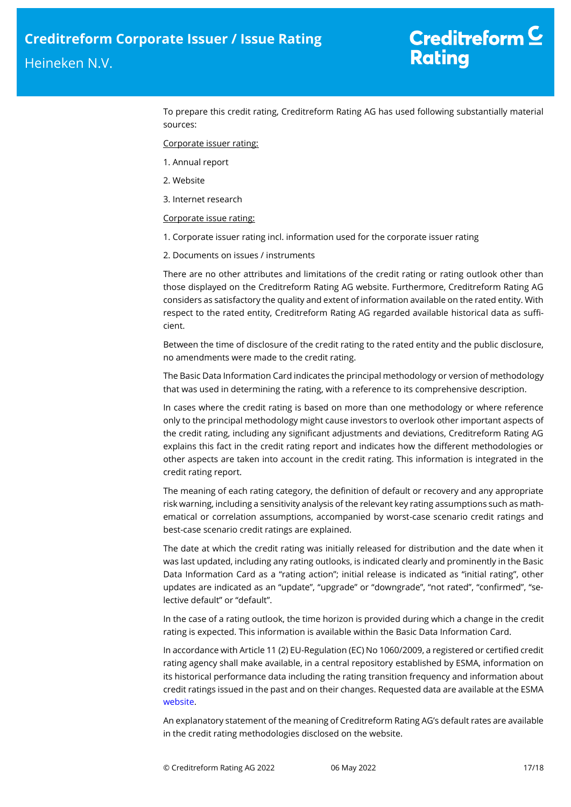To prepare this credit rating, Creditreform Rating AG has used following substantially material sources:

Corporate issuer rating:

- 1. Annual report
- 2. Website
- 3. Internet research

## Corporate issue rating:

- 1. Corporate issuer rating incl. information used for the corporate issuer rating
- 2. Documents on issues / instruments

There are no other attributes and limitations of the credit rating or rating outlook other than those displayed on the Creditreform Rating AG website. Furthermore, Creditreform Rating AG considers as satisfactory the quality and extent of information available on the rated entity. With respect to the rated entity, Creditreform Rating AG regarded available historical data as sufficient.

Between the time of disclosure of the credit rating to the rated entity and the public disclosure, no amendments were made to the credit rating.

The Basic Data Information Card indicates the principal methodology or version of methodology that was used in determining the rating, with a reference to its comprehensive description.

In cases where the credit rating is based on more than one methodology or where reference only to the principal methodology might cause investors to overlook other important aspects of the credit rating, including any significant adjustments and deviations, Creditreform Rating AG explains this fact in the credit rating report and indicates how the different methodologies or other aspects are taken into account in the credit rating. This information is integrated in the credit rating report.

The meaning of each rating category, the definition of default or recovery and any appropriate risk warning, including a sensitivity analysis of the relevant key rating assumptions such as mathematical or correlation assumptions, accompanied by worst-case scenario credit ratings and best-case scenario credit ratings are explained.

The date at which the credit rating was initially released for distribution and the date when it was last updated, including any rating outlooks, is indicated clearly and prominently in the Basic Data Information Card as a "rating action"; initial release is indicated as "initial rating", other updates are indicated as an "update", "upgrade" or "downgrade", "not rated", "confirmed", "selective default" or "default".

In the case of a rating outlook, the time horizon is provided during which a change in the credit rating is expected. This information is available within the Basic Data Information Card.

In accordance with Article 11 (2) EU-Regulation (EC) No 1060/2009, a registered or certified credit rating agency shall make available, in a central repository established by ESMA, information on its historical performance data including the rating transition frequency and information about credit ratings issued in the past and on their changes. Requested data are available at the ESMA [website.](https://cerep.esma.europa.eu/cerep-web/statistics/defaults.xhtml)

An explanatory statement of the meaning of Creditreform Rating AG's default rates are available in the credit rating methodologies disclosed on the website.